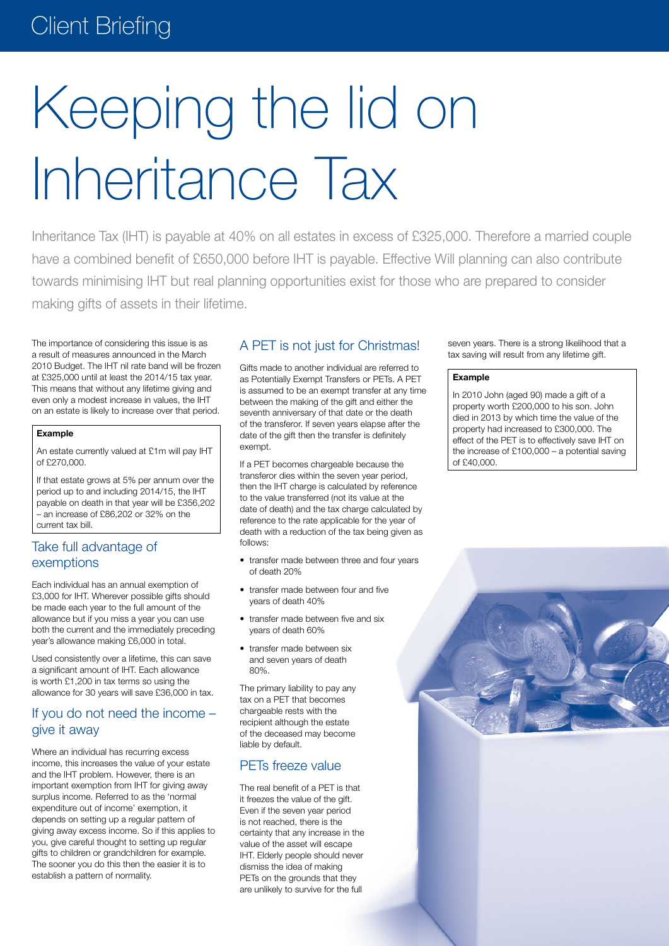# Keeping the lid on Inheritance Tax

Inheritance Tax (IHT) is payable at 40% on all estates in excess of £325,000. Therefore a married couple have a combined benefit of £650,000 before IHT is payable. Effective Will planning can also contribute towards minimising IHT but real planning opportunities exist for those who are prepared to consider making gifts of assets in their lifetime.

The importance of considering this issue is as a result of measures announced in the March 2010 Budget. The IHT nil rate band will be frozen at £325,000 until at least the 2014/15 tax year. This means that without any lifetime giving and even only a modest increase in values, the IHT on an estate is likely to increase over that period.

#### **Example**

An estate currently valued at £1m will pay IHT of £270,000.

If that estate grows at 5% per annum over the period up to and including 2014/15, the IHT payable on death in that year will be £356,202 – an increase of £86,202 or 32% on the current tax bill.

## Take full advantage of exemptions

Each individual has an annual exemption of £3,000 for IHT. Wherever possible gifts should be made each year to the full amount of the allowance but if you miss a year you can use both the current and the immediately preceding year's allowance making £6,000 in total.

Used consistently over a lifetime, this can save a significant amount of IHT. Each allowance is worth £1,200 in tax terms so using the allowance for 30 years will save £36,000 in tax.

### If you do not need the income – give it away

Where an individual has recurring excess income, this increases the value of your estate and the IHT problem. However, there is an important exemption from IHT for giving away surplus income. Referred to as the 'normal expenditure out of income' exemption, it depends on setting up a regular pattern of giving away excess income. So if this applies to you, give careful thought to setting up regular gifts to children or grandchildren for example. The sooner you do this then the easier it is to establish a pattern of normality.

#### A PET is not just for Christmas!

Gifts made to another individual are referred to as Potentially Exempt Transfers or PETs. A PET is assumed to be an exempt transfer at any time between the making of the gift and either the seventh anniversary of that date or the death of the transferor. If seven years elapse after the date of the gift then the transfer is definitely exempt.

If a PET becomes chargeable because the transferor dies within the seven year period, then the IHT charge is calculated by reference to the value transferred (not its value at the date of death) and the tax charge calculated by reference to the rate applicable for the year of death with a reduction of the tax being given as follows:

- transfer made between three and four years of death 20%
- transfer made between four and five years of death 40%
- transfer made between five and six years of death 60%
- transfer made between six and seven years of death 80%.

The primary liability to pay any tax on a PET that becomes chargeable rests with the recipient although the estate of the deceased may become liable by default.

#### PETs freeze value

The real benefit of a PET is that it freezes the value of the gift. Even if the seven year period is not reached, there is the certainty that any increase in the value of the asset will escape IHT. Elderly people should never dismiss the idea of making PETs on the grounds that they are unlikely to survive for the full

seven years. There is a strong likelihood that a tax saving will result from any lifetime gift.

#### **Example**

In 2010 John (aged 90) made a gift of a property worth £200,000 to his son. John died in 2013 by which time the value of the property had increased to £300,000. The effect of the PET is to effectively save IHT on the increase of  $£100,000 - a$  potential saving of £40,000.